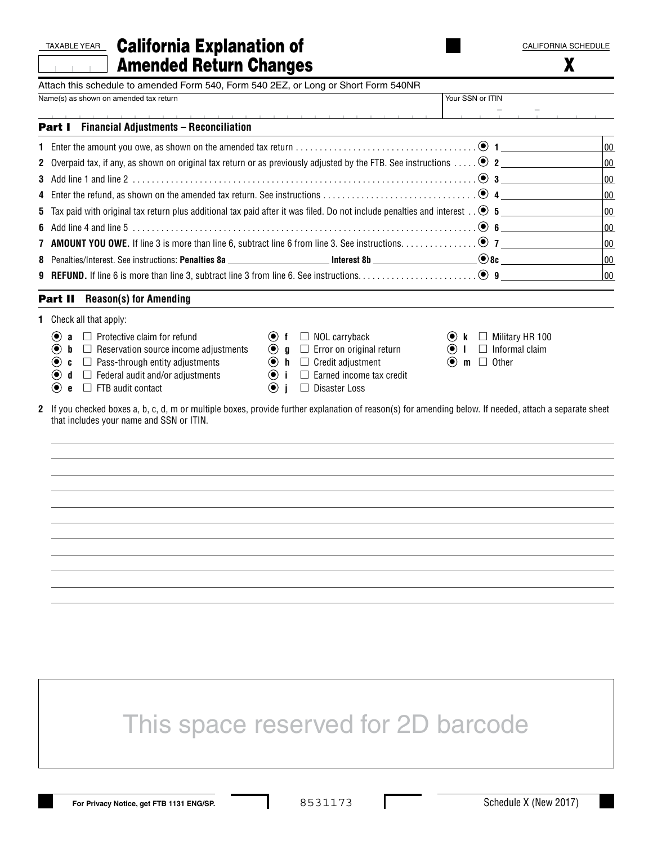| TAXABLEYEAR California Explanation of | <b>CALIFORNIA SCHEDULE</b> |
|---------------------------------------|----------------------------|
| <b>Amended Return Changes</b>         |                            |

| Attach this schedule to amended Form 540, Form 540 2EZ, or Long or Short Form 540NR<br>Name(s) as shown on amended tax return      |                                                                                   | Your SSN or ITIN                                          |            |
|------------------------------------------------------------------------------------------------------------------------------------|-----------------------------------------------------------------------------------|-----------------------------------------------------------|------------|
|                                                                                                                                    | .                                                                                 |                                                           |            |
| <b>Part I</b> Financial Adjustments - Reconciliation                                                                               |                                                                                   |                                                           |            |
|                                                                                                                                    |                                                                                   |                                                           | 00         |
| 2 Overpaid tax, if any, as shown on original tax return or as previously adjusted by the FTB. See instructions $\bullet$ 2         |                                                                                   |                                                           | 00         |
|                                                                                                                                    |                                                                                   |                                                           | 100        |
|                                                                                                                                    |                                                                                   |                                                           | 100        |
| 5 Tax paid with original tax return plus additional tax paid after it was filed. Do not include penalties and interest $. \odot$ 5 |                                                                                   |                                                           | 100        |
|                                                                                                                                    |                                                                                   |                                                           | 100        |
|                                                                                                                                    |                                                                                   |                                                           | 00         |
|                                                                                                                                    |                                                                                   |                                                           | 100<br>100 |
|                                                                                                                                    |                                                                                   |                                                           |            |
| <b>Part II</b> Reason(s) for Amending                                                                                              |                                                                                   |                                                           |            |
| <b>1</b> Check all that apply:                                                                                                     |                                                                                   |                                                           |            |
| $\left( \bullet \right)$<br><b>a</b> $\Box$ Protective claim for refund                                                            | $\odot$ f $\Box$ NOL carryback                                                    | $\bullet$ k $\Box$ Military HR 100                        |            |
| $\left( \bullet \right)$<br>$\mathbf{b}$ $\Box$ Reservation source income adjustments                                              | $\bullet$ $\bullet$ $\Box$ Error on original return                               | $\odot$ I $\Box$ Informal claim<br>$\odot$ m $\Box$ Other |            |
| $\bf{O}$<br><b>c</b> $\Box$ Pass-through entity adjustments<br>◉<br>$\mathbf d$ $\square$ Federal audit and/or adjustments         | $\bullet$ h $\Box$ Credit adjustment<br>$\odot$ i $\Box$ Earned income tax credit |                                                           |            |
| $\bullet$ e $\Box$ FTB audit contact                                                                                               | $\odot$ i<br>□ Disaster Loss                                                      |                                                           |            |
|                                                                                                                                    |                                                                                   |                                                           |            |
|                                                                                                                                    |                                                                                   |                                                           |            |
|                                                                                                                                    |                                                                                   |                                                           |            |
|                                                                                                                                    |                                                                                   |                                                           |            |
|                                                                                                                                    |                                                                                   |                                                           |            |
|                                                                                                                                    |                                                                                   |                                                           |            |
|                                                                                                                                    | This space reserved for 2D barcode                                                |                                                           |            |